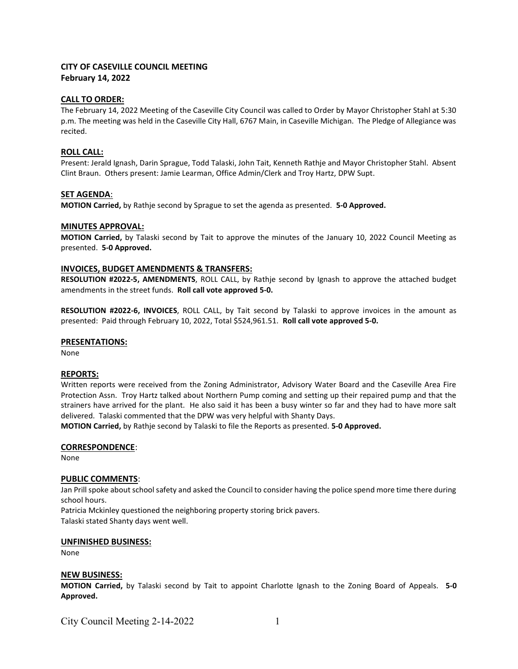# CITY OF CASEVILLE COUNCIL MEETING February 14, 2022

# CALL TO ORDER:

The February 14, 2022 Meeting of the Caseville City Council was called to Order by Mayor Christopher Stahl at 5:30 p.m. The meeting was held in the Caseville City Hall, 6767 Main, in Caseville Michigan. The Pledge of Allegiance was recited.

### ROLL CALL:

Present: Jerald Ignash, Darin Sprague, Todd Talaski, John Tait, Kenneth Rathje and Mayor Christopher Stahl. Absent Clint Braun. Others present: Jamie Learman, Office Admin/Clerk and Troy Hartz, DPW Supt.

### SET AGENDA:

MOTION Carried, by Rathje second by Sprague to set the agenda as presented. 5-0 Approved.

#### MINUTES APPROVAL:

MOTION Carried, by Talaski second by Tait to approve the minutes of the January 10, 2022 Council Meeting as presented. 5-0 Approved.

# INVOICES, BUDGET AMENDMENTS & TRANSFERS:

RESOLUTION #2022-5, AMENDMENTS, ROLL CALL, by Rathje second by Ignash to approve the attached budget amendments in the street funds. Roll call vote approved 5-0.

RESOLUTION #2022-6, INVOICES, ROLL CALL, by Tait second by Talaski to approve invoices in the amount as presented: Paid through February 10, 2022, Total \$524,961.51. Roll call vote approved 5-0.

#### PRESENTATIONS:

None

#### REPORTS:

Written reports were received from the Zoning Administrator, Advisory Water Board and the Caseville Area Fire Protection Assn. Troy Hartz talked about Northern Pump coming and setting up their repaired pump and that the strainers have arrived for the plant. He also said it has been a busy winter so far and they had to have more salt delivered. Talaski commented that the DPW was very helpful with Shanty Days.

MOTION Carried, by Rathje second by Talaski to file the Reports as presented. 5-0 Approved.

#### CORRESPONDENCE:

None

#### PUBLIC COMMENTS:

Jan Prill spoke about school safety and asked the Council to consider having the police spend more time there during school hours.

Patricia Mckinley questioned the neighboring property storing brick pavers. Talaski stated Shanty days went well.

#### UNFINISHED BUSINESS:

None

#### NEW BUSINESS:

MOTION Carried, by Talaski second by Tait to appoint Charlotte Ignash to the Zoning Board of Appeals. 5-0 Approved.

City Council Meeting 2-14-2022 1